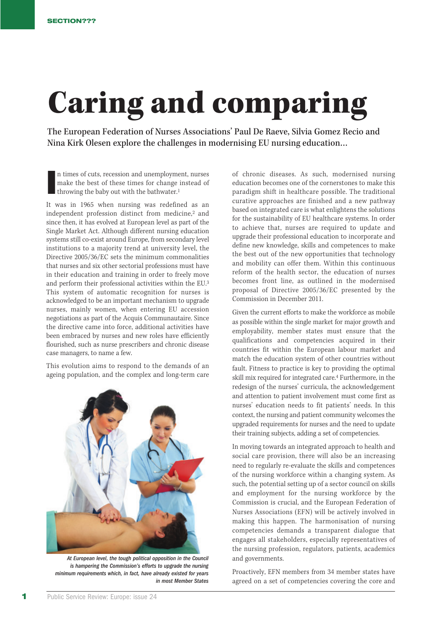## Caring and comparing

The European Federation of Nurses Associations' Paul De Raeve, Silvia Gomez Recio and Nina Kirk Olesen explore the challenges in modernising EU nursing education…

**I** n times of cuts, recession and unemployment, nurses make the best of these times for change instead of throwing the baby out with the bathwater.1

It was in 1965 when nursing was redefined as an independent profession distinct from medicine,2 and since then, it has evolved at European level as part of the Single Market Act. Although different nursing education systems still co-exist around Europe, from secondary level institutions to a majority trend at university level, the Directive 2005/36/EC sets the minimum commonalities that nurses and six other sectorial professions must have in their education and training in order to freely move and perform their professional activities within the EU.3 This system of automatic recognition for nurses is acknowledged to be an important mechanism to upgrade nurses, mainly women, when entering EU accession negotiations as part of the Acquis Communautaire. Since the directive came into force, additional activities have been embraced by nurses and new roles have efficiently flourished, such as nurse prescribers and chronic disease case managers, to name a few.

This evolution aims to respond to the demands of an ageing population, and the complex and long-term care



At European level, the tough political opposition in the Council is hampering the Commission's efforts to upgrade the nursing minimum requirements which, in fact, have already existed for years in most Member States

of chronic diseases. As such, modernised nursing education becomes one of the cornerstones to make this paradigm shift in healthcare possible. The traditional curative approaches are finished and a new pathway based on integrated care is what enlightens the solutions for the sustainability of EU healthcare systems. In order to achieve that, nurses are required to update and upgrade their professional education to incorporate and define new knowledge, skills and competences to make the best out of the new opportunities that technology and mobility can offer them. Within this continuous reform of the health sector, the education of nurses becomes front line, as outlined in the modernised proposal of Directive 2005/36/EC presented by the Commission in December 2011.

Given the current efforts to make the workforce as mobile as possible within the single market for major growth and employability, member states must ensure that the qualifications and competencies acquired in their countries fit within the European labour market and match the education system of other countries without fault. Fitness to practice is key to providing the optimal skill mix required for integrated care.4 Furthermore, in the redesign of the nurses' curricula, the acknowledgement and attention to patient involvement must come first as nurses' education needs to fit patients' needs. In this context, the nursing and patient community welcomes the upgraded requirements for nurses and the need to update their training subjects, adding a set of competencies.

In moving towards an integrated approach to health and social care provision, there will also be an increasing need to regularly re-evaluate the skills and competences of the nursing workforce within a changing system. As such, the potential setting up of a sector council on skills and employment for the nursing workforce by the Commission is crucial, and the European Federation of Nurses Associations (EFN) will be actively involved in making this happen. The harmonisation of nursing competencies demands a transparent dialogue that engages all stakeholders, especially representatives of the nursing profession, regulators, patients, academics and governments.

Proactively, EFN members from 34 member states have agreed on a set of competencies covering the core and